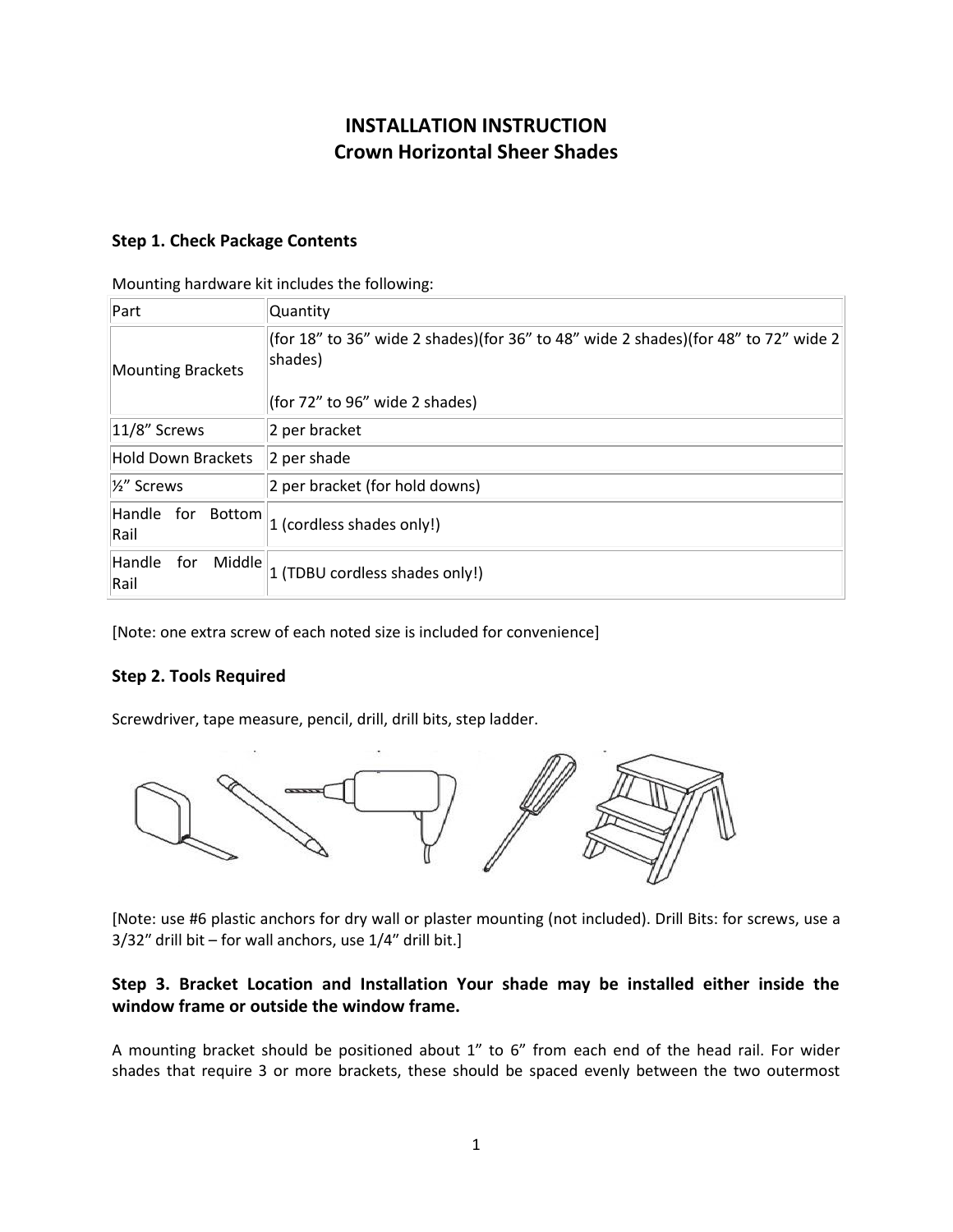# **INSTALLATION INSTRUCTION Crown Horizontal Sheer Shades**

# **Step 1. Check Package Contents**

Mounting hardware kit includes the following:

| Part                            | <b>Quantity</b>                                                                                                                 |
|---------------------------------|---------------------------------------------------------------------------------------------------------------------------------|
| <b>Mounting Brackets</b>        | (for 18" to 36" wide 2 shades)(for 36" to 48" wide 2 shades)(for 48" to 72" wide 2<br>shades)<br>(for 72" to 96" wide 2 shades) |
| $ 11/8"$ Screws                 | 2 per bracket                                                                                                                   |
| Hold Down Brackets              | 2 per shade                                                                                                                     |
| 1/ <sub>2</sub> " Screws        | 2 per bracket (for hold downs)                                                                                                  |
| Handle for Bottom<br>Rail       | 1 (cordless shades only!)                                                                                                       |
| Handle<br>Middle<br>for<br>Rail | 1 (TDBU cordless shades only!)                                                                                                  |

[Note: one extra screw of each noted size is included for convenience]

# **Step 2. Tools Required**

Screwdriver, tape measure, pencil, drill, drill bits, step ladder.



[Note: use #6 plastic anchors for dry wall or plaster mounting (not included). Drill Bits: for screws, use a 3/32″ drill bit – for wall anchors, use 1/4″ drill bit.]

# **Step 3. Bracket Location and Installation Your shade may be installed either inside the window frame or outside the window frame.**

A mounting bracket should be positioned about 1" to 6" from each end of the head rail. For wider shades that require 3 or more brackets, these should be spaced evenly between the two outermost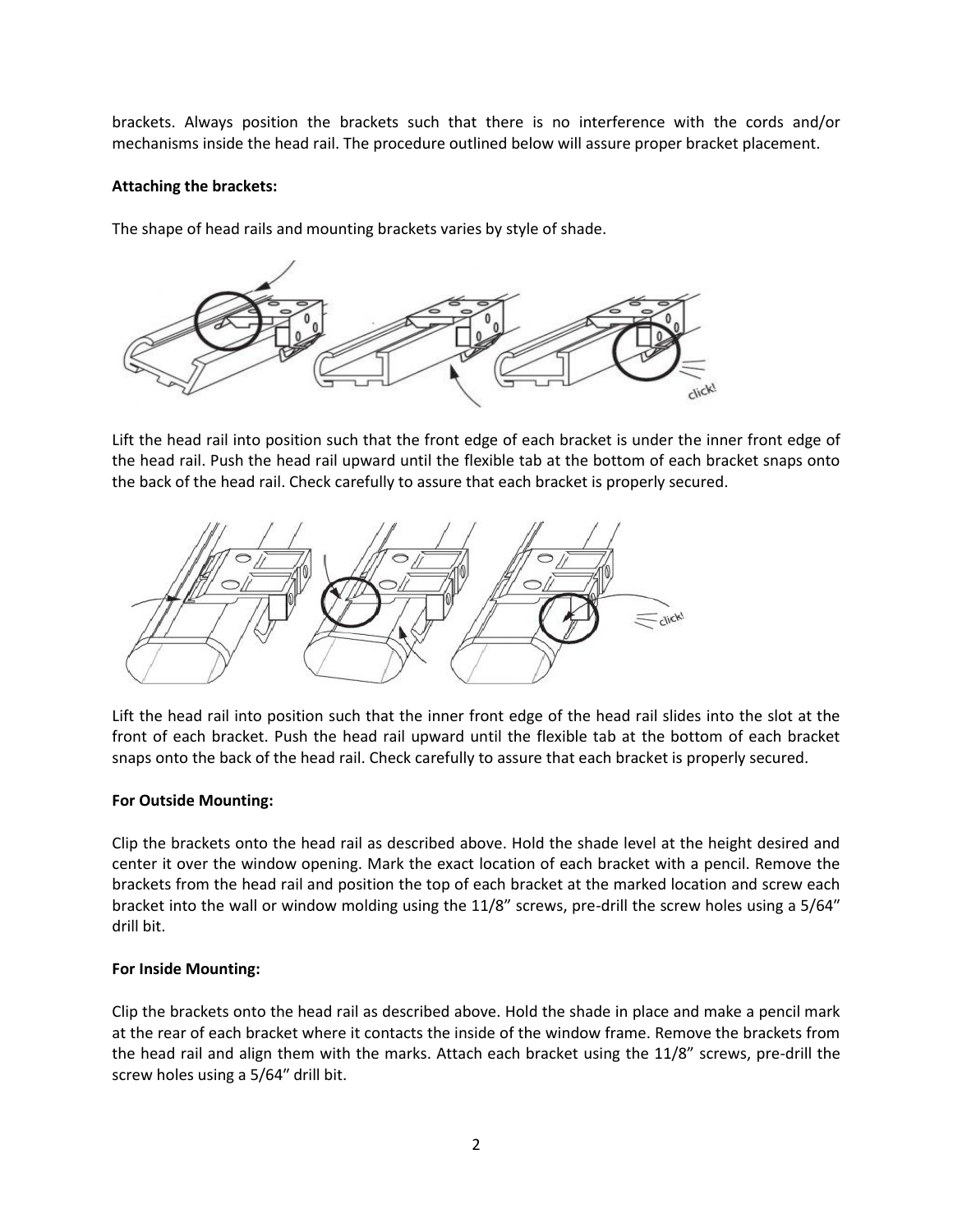brackets. Always position the brackets such that there is no interference with the cords and/or mechanisms inside the head rail. The procedure outlined below will assure proper bracket placement.

### **Attaching the brackets:**

The shape of head rails and mounting brackets varies by style of shade.



Lift the head rail into position such that the front edge of each bracket is under the inner front edge of the head rail. Push the head rail upward until the flexible tab at the bottom of each bracket snaps onto the back of the head rail. Check carefully to assure that each bracket is properly secured.



Lift the head rail into position such that the inner front edge of the head rail slides into the slot at the front of each bracket. Push the head rail upward until the flexible tab at the bottom of each bracket snaps onto the back of the head rail. Check carefully to assure that each bracket is properly secured.

# **For Outside Mounting:**

Clip the brackets onto the head rail as described above. Hold the shade level at the height desired and center it over the window opening. Mark the exact location of each bracket with a pencil. Remove the brackets from the head rail and position the top of each bracket at the marked location and screw each bracket into the wall or window molding using the 11/8" screws, pre-drill the screw holes using a 5/64″ drill bit.

# **For Inside Mounting:**

Clip the brackets onto the head rail as described above. Hold the shade in place and make a pencil mark at the rear of each bracket where it contacts the inside of the window frame. Remove the brackets from the head rail and align them with the marks. Attach each bracket using the 11/8" screws, pre-drill the screw holes using a 5/64″ drill bit.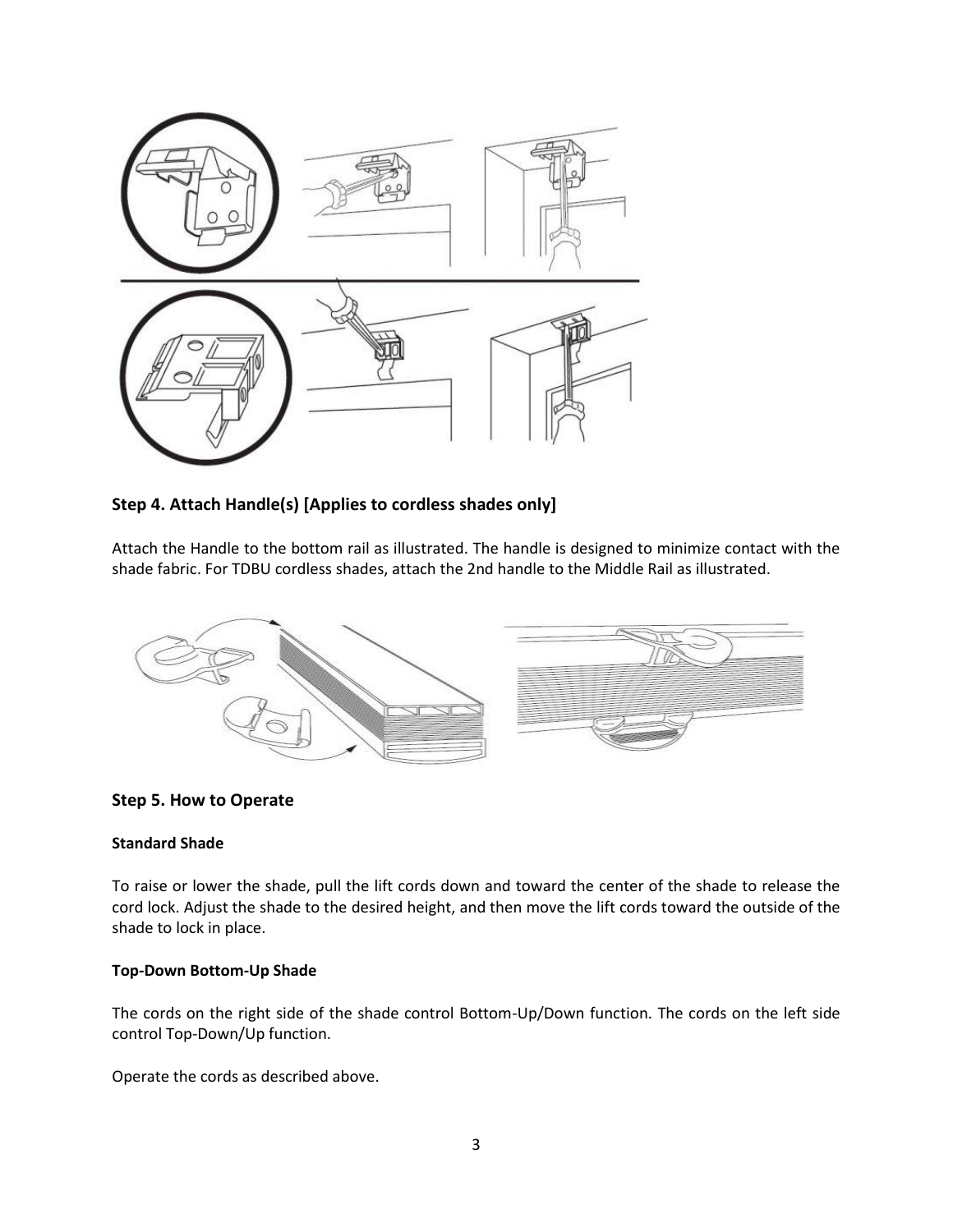

# **Step 4. Attach Handle(s) [Applies to cordless shades only]**

Attach the Handle to the bottom rail as illustrated. The handle is designed to minimize contact with the shade fabric. For TDBU cordless shades, attach the 2nd handle to the Middle Rail as illustrated.



# **Step 5. How to Operate**

# **Standard Shade**

To raise or lower the shade, pull the lift cords down and toward the center of the shade to release the cord lock. Adjust the shade to the desired height, and then move the lift cords toward the outside of the shade to lock in place.

# **Top-Down Bottom-Up Shade**

The cords on the right side of the shade control Bottom-Up/Down function. The cords on the left side control Top-Down/Up function.

Operate the cords as described above.